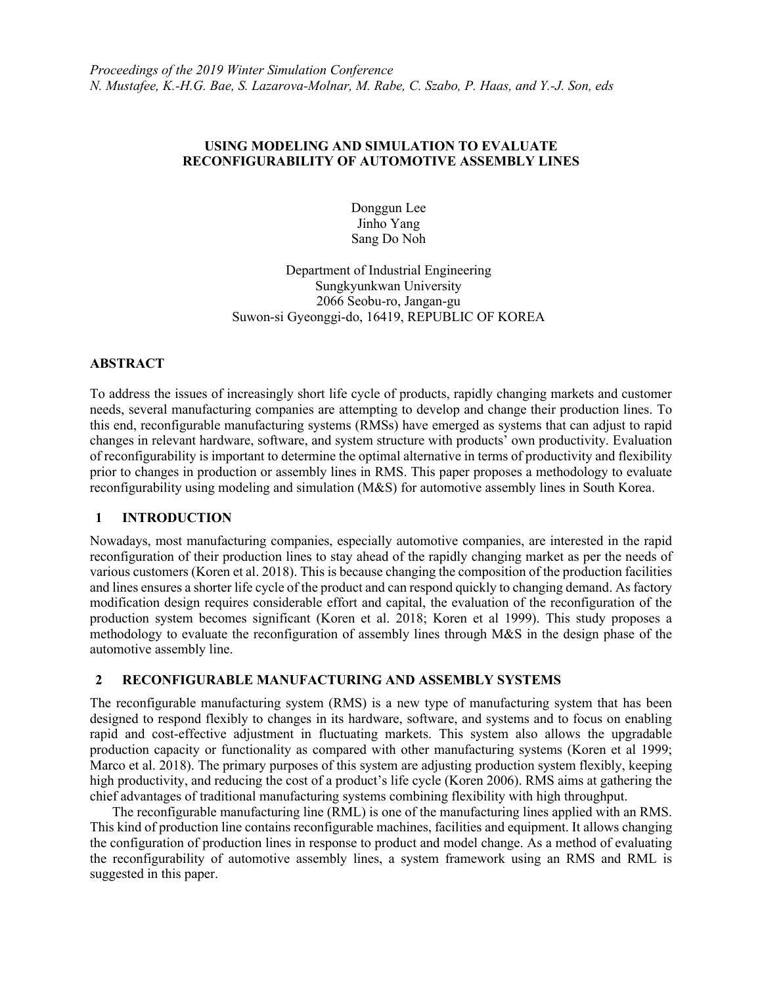## **USING MODELING AND SIMULATION TO EVALUATE RECONFIGURABILITY OF AUTOMOTIVE ASSEMBLY LINES**

Donggun Lee Jinho Yang Sang Do Noh

Department of Industrial Engineering Sungkyunkwan University 2066 Seobu-ro, Jangan-gu Suwon-si Gyeonggi-do, 16419, REPUBLIC OF KOREA

## **ABSTRACT**

To address the issues of increasingly short life cycle of products, rapidly changing markets and customer needs, several manufacturing companies are attempting to develop and change their production lines. To this end, reconfigurable manufacturing systems (RMSs) have emerged as systems that can adjust to rapid changes in relevant hardware, software, and system structure with products' own productivity. Evaluation of reconfigurability is important to determine the optimal alternative in terms of productivity and flexibility prior to changes in production or assembly lines in RMS. This paper proposes a methodology to evaluate reconfigurability using modeling and simulation (M&S) for automotive assembly lines in South Korea.

## **1 INTRODUCTION**

Nowadays, most manufacturing companies, especially automotive companies, are interested in the rapid reconfiguration of their production lines to stay ahead of the rapidly changing market as per the needs of various customers (Koren et al. 2018). This is because changing the composition of the production facilities and lines ensures a shorter life cycle of the product and can respond quickly to changing demand. As factory modification design requires considerable effort and capital, the evaluation of the reconfiguration of the production system becomes significant (Koren et al. 2018; Koren et al 1999). This study proposes a methodology to evaluate the reconfiguration of assembly lines through M&S in the design phase of the automotive assembly line.

# **2 RECONFIGURABLE MANUFACTURING AND ASSEMBLY SYSTEMS**

The reconfigurable manufacturing system (RMS) is a new type of manufacturing system that has been designed to respond flexibly to changes in its hardware, software, and systems and to focus on enabling rapid and cost-effective adjustment in fluctuating markets. This system also allows the upgradable production capacity or functionality as compared with other manufacturing systems (Koren et al 1999; Marco et al. 2018). The primary purposes of this system are adjusting production system flexibly, keeping high productivity, and reducing the cost of a product's life cycle (Koren 2006). RMS aims at gathering the chief advantages of traditional manufacturing systems combining flexibility with high throughput.

The reconfigurable manufacturing line (RML) is one of the manufacturing lines applied with an RMS. This kind of production line contains reconfigurable machines, facilities and equipment. It allows changing the configuration of production lines in response to product and model change. As a method of evaluating the reconfigurability of automotive assembly lines, a system framework using an RMS and RML is suggested in this paper.